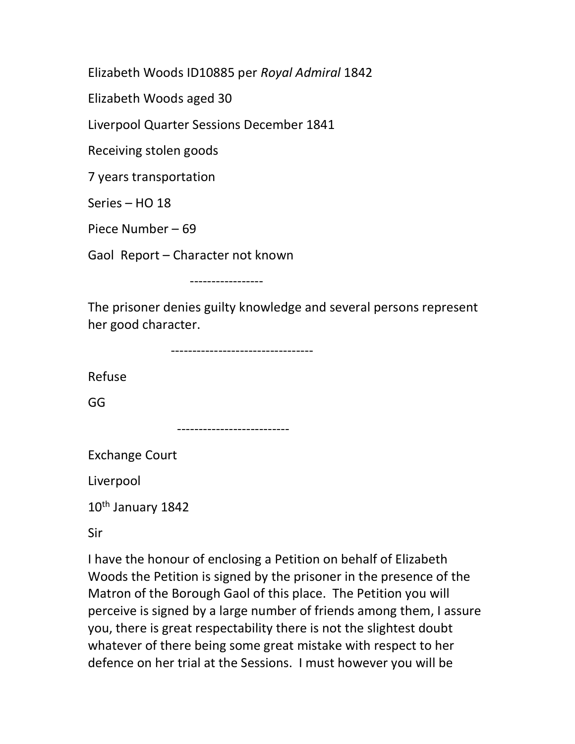Elizabeth Woods ID10885 per Royal Admiral 1842

Elizabeth Woods aged 30

Liverpool Quarter Sessions December 1841

Receiving stolen goods

7 years transportation

Series – HO 18

Piece Number – 69

Gaol Report – Character not known

-----------------

The prisoner denies guilty knowledge and several persons represent her good character.

---------------------------------

Refuse

GG

--------------------------

Exchange Court

Liverpool

10th January 1842

Sir

I have the honour of enclosing a Petition on behalf of Elizabeth Woods the Petition is signed by the prisoner in the presence of the Matron of the Borough Gaol of this place. The Petition you will perceive is signed by a large number of friends among them, I assure you, there is great respectability there is not the slightest doubt whatever of there being some great mistake with respect to her defence on her trial at the Sessions. I must however you will be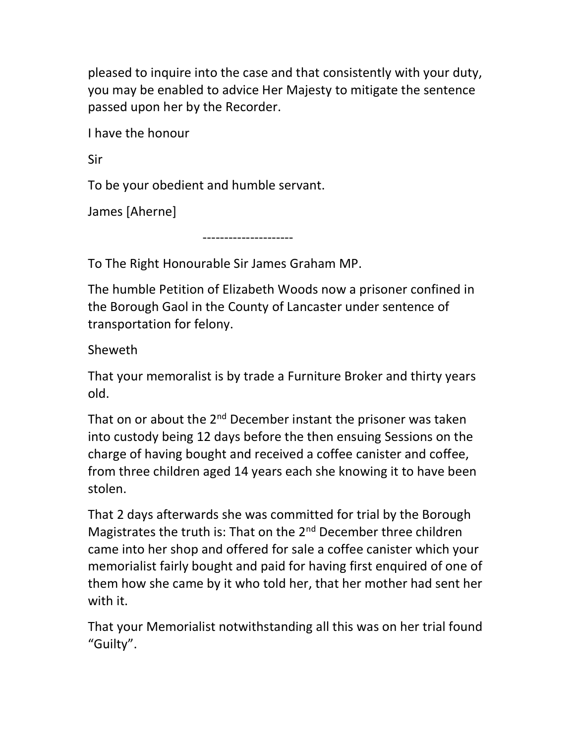pleased to inquire into the case and that consistently with your duty, you may be enabled to advice Her Majesty to mitigate the sentence passed upon her by the Recorder.

I have the honour

Sir

To be your obedient and humble servant.

James [Aherne]

---------------------

To The Right Honourable Sir James Graham MP.

The humble Petition of Elizabeth Woods now a prisoner confined in the Borough Gaol in the County of Lancaster under sentence of transportation for felony.

Sheweth

That your memoralist is by trade a Furniture Broker and thirty years old.

That on or about the 2<sup>nd</sup> December instant the prisoner was taken into custody being 12 days before the then ensuing Sessions on the charge of having bought and received a coffee canister and coffee, from three children aged 14 years each she knowing it to have been stolen.

That 2 days afterwards she was committed for trial by the Borough Magistrates the truth is: That on the 2<sup>nd</sup> December three children came into her shop and offered for sale a coffee canister which your memorialist fairly bought and paid for having first enquired of one of them how she came by it who told her, that her mother had sent her with it.

That your Memorialist notwithstanding all this was on her trial found "Guilty".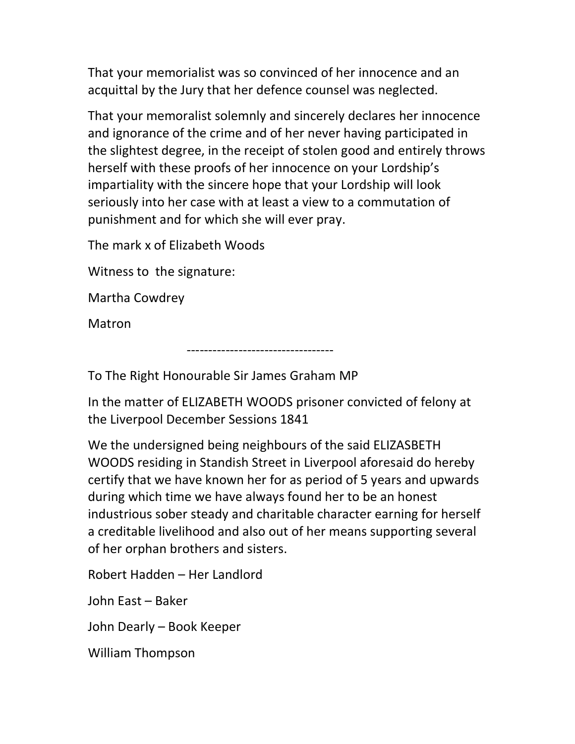That your memorialist was so convinced of her innocence and an acquittal by the Jury that her defence counsel was neglected.

That your memoralist solemnly and sincerely declares her innocence and ignorance of the crime and of her never having participated in the slightest degree, in the receipt of stolen good and entirely throws herself with these proofs of her innocence on your Lordship's impartiality with the sincere hope that your Lordship will look seriously into her case with at least a view to a commutation of punishment and for which she will ever pray.

The mark x of Elizabeth Woods

Witness to the signature:

Martha Cowdrey

**Matron** 

To The Right Honourable Sir James Graham MP

----------------------------------

In the matter of ELIZABETH WOODS prisoner convicted of felony at the Liverpool December Sessions 1841

We the undersigned being neighbours of the said ELIZASBETH WOODS residing in Standish Street in Liverpool aforesaid do hereby certify that we have known her for as period of 5 years and upwards during which time we have always found her to be an honest industrious sober steady and charitable character earning for herself a creditable livelihood and also out of her means supporting several of her orphan brothers and sisters.

Robert Hadden – Her Landlord

John East – Baker

John Dearly – Book Keeper

William Thompson